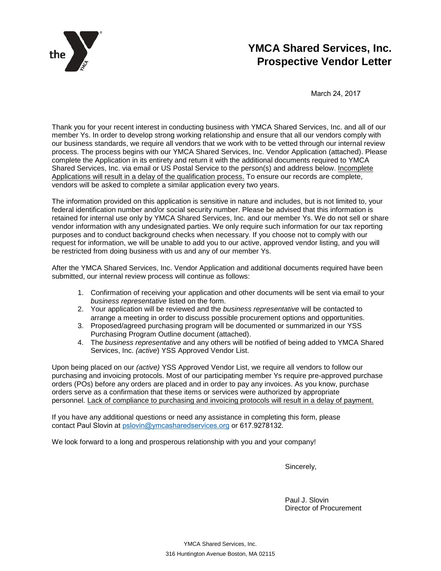

# **YMCA Shared Services, Inc. Prospective Vendor Letter**

March 24, 2017

Thank you for your recent interest in conducting business with YMCA Shared Services, Inc. and all of our member Ys. In order to develop strong working relationship and ensure that all our vendors comply with our business standards, we require all vendors that we work with to be vetted through our internal review process. The process begins with our YMCA Shared Services, Inc. Vendor Application (attached). Please complete the Application in its entirety and return it with the additional documents required to YMCA Shared Services, Inc. via email or US Postal Service to the person(s) and address below. Incomplete Applications will result in a delay of the qualification process. To ensure our records are complete, vendors will be asked to complete a similar application every two years.

The information provided on this application is sensitive in nature and includes, but is not limited to, your federal identification number and/or social security number. Please be advised that this information is retained for internal use only by YMCA Shared Services, Inc. and our member Ys. We do not sell or share vendor information with any undesignated parties. We only require such information for our tax reporting purposes and to conduct background checks when necessary. If you choose not to comply with our request for information, we will be unable to add you to our active, approved vendor listing, and you will be restricted from doing business with us and any of our member Ys.

After the YMCA Shared Services, Inc. Vendor Application and additional documents required have been submitted, our internal review process will continue as follows:

- 1. Confirmation of receiving your application and other documents will be sent via email to your *business representative* listed on the form.
- 2. Your application will be reviewed and the *business representative* will be contacted to arrange a meeting in order to discuss possible procurement options and opportunities.
- 3. Proposed/agreed purchasing program will be documented or summarized in our YSS Purchasing Program Outline document (attached).
- 4. The *business representative* and any others will be notified of being added to YMCA Shared Services, Inc. *(active*) YSS Approved Vendor List.

Upon being placed on our *(active)* YSS Approved Vendor List, we require all vendors to follow our purchasing and invoicing protocols. Most of our participating member Ys require pre-approved purchase orders (POs) before any orders are placed and in order to pay any invoices. As you know, purchase orders serve as a confirmation that these items or services were authorized by appropriate personnel. Lack of compliance to purchasing and invoicing protocols will result in a delay of payment.

If you have any additional questions or need any assistance in completing this form, please contact Paul Slovin at [pslovin@ymcasharedservic](mailto:ebagshaw@ymcaboston.org)es.org or 617.9278132.

We look forward to a long and prosperous relationship with you and your company!

Sincerely,

Paul J. Slovin Director of Procurement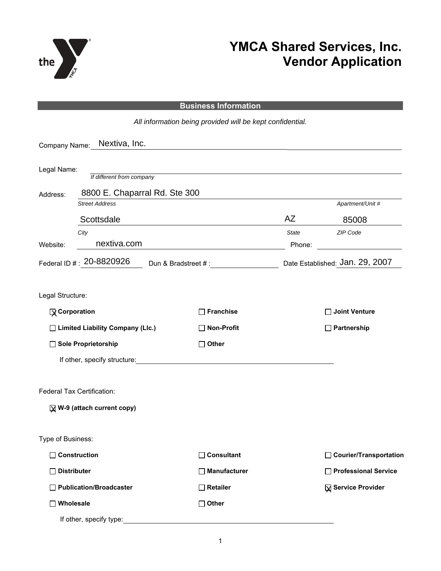

# **YMCA Shared Services, Inc. Vendor Application**

#### **Business Information**

*All information being provided will be kept confidential.*  Company Name: Nextiva, Inc. Legal Name: *If different from company* Address: **Street Address** Apartment/Unit # *City State ZIP Code* Website: <u>nextiva.com</u> executive complete the extension of the extension of the extension of the extension of the extension of the extension of the extension of the extension of the extension of the extension of the extens Federal ID # :  $20$ - $8820926$  Dun & Bradstreet # :  $\hbox{Date Established: Jan. 29, 2007}$ Legal Structure: If other, specify structure: Federal Tax Certification: Type of Business: **Corporation Franchise Joint Venture Limited Liability Company (Llc.) Non-Profit Partnership Sole Proprietorship Other W-9 (attach current copy)** X  **Construction Consultant Courier/Transportation**  □ Distributer **Manufacturer Professional Service** → Professional Service □ Publication/Broadcaster <br>□ Retailer □ Wholesale **Other Other** mpany Name: <u>Nextiva, Inc.</u><br>
al Name: The different from compartness: Second Street Address<br>
Scottsdale<br>
City<br>
Street Address<br>
Scottsdale<br>
City<br>
Structure: Reproperation<br>
Note: Note: 20-8820926<br>
Al Structure:<br>
Note: Reprop **X** Service Provider 8800 E. Chaparral Rd. Ste 300 Scottsdale **AZ** 85008 nextiva.com

If other, specify type: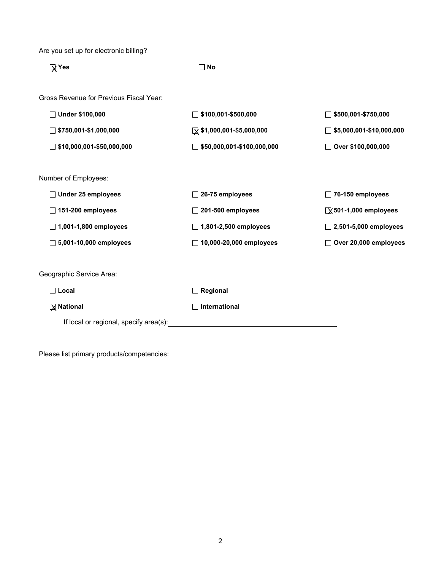Are you set up for electronic billing?

**X** Yes

 $\Box$  No

Gross Revenue for Previous Fiscal Year:

| <b><math>\Box</math> Under \$100.000</b> | $\Box$ \$100,001-\$500,000         | $\Box$ \$500,001-\$750,000      |
|------------------------------------------|------------------------------------|---------------------------------|
| $\Box$ \$750,001-\$1,000,000             | $\sqrt{ }$ \$1,000,001-\$5,000,000 | $\Box$ \$5,000,001-\$10,000,000 |
| $\Box$ \$10,000,001-\$50,000,000         | $\Box$ \$50,000,001-\$100,000,000  | ◯ Over \$100,000,000            |

Number of Employees:

| $\Box$ Under 25 employees     | $\Box$ 26-75 employees         | $\Box$ 76-150 employees        |
|-------------------------------|--------------------------------|--------------------------------|
| $\Box$ 151-200 employees      | $\Box$ 201-500 employees       | $\sqrt{2}$ 501-1,000 employees |
| $\Box$ 1,001-1,800 employees  | $\Box$ 1,801-2,500 employees   | $\Box$ 2,501-5,000 employees   |
| $\Box$ 5,001-10,000 employees | $\Box$ 10,000-20,000 employees | $\Box$ Over 20,000 employees   |

Geographic Service Area:

**Local Regional** 

**X** National

**National International**

If local or regional, specify area(s):

Please list primary products/competencies: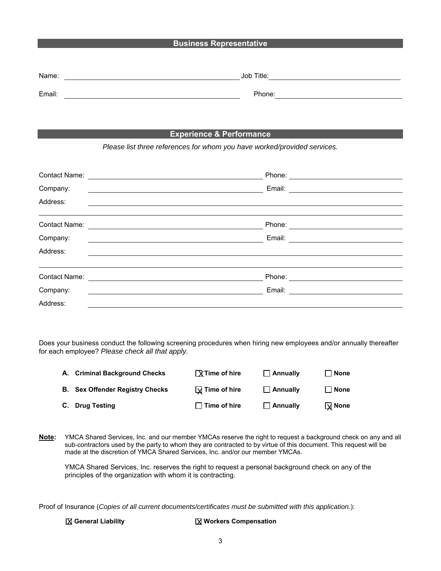### **Business Representative**

| Name:  | Job Title: |
|--------|------------|
| Email: | Phone:     |

### **Experience & Performance**

*Please list three references for whom you have worked/provided services.* 

| Contact Name: | Phone: |
|---------------|--------|
| Company:      | Email: |
| Address:      |        |
|               |        |
| Contact Name: | Phone: |
| Company:      | Email: |
| Address:      |        |
|               |        |
| Contact Name: | Phone: |
| Company:      | Email: |
| Address:      |        |

Does your business conduct the following screening procedures when hiring new employees and/or annually thereafter for each employee? *Please check all that apply.*

| A. Criminal Background Checks          | $\sqrt{X}$ Time of hire | $\Box$ Annually | l None          |
|----------------------------------------|-------------------------|-----------------|-----------------|
| <b>B.</b> Sex Offender Registry Checks | $\sqrt{ }$ Time of hire | $\Box$ Annually | l I None        |
| C. Drug Testing                        | $\Box$ Time of hire     | $\Box$ Annually | $\sqrt{ }$ None |

**Note:** YMCA Shared Services, Inc. and our member YMCAs reserve the right to request a background check on any and all sub-contractors used by the party to whom they are contracted to by virtue of this document. This request will be made at the discretion of YMCA Shared Services, Inc. and/or our member YMCAs.

YMCA Shared Services, Inc. reserves the right to request a personal background check on any of the principles of the organization with whom it is contracting.

Proof of Insurance (*Copies of all current documents/certificates must be submitted with this application.*):

#### **X** General Liability

#### $\sqrt{X}$  **Workers Compensation**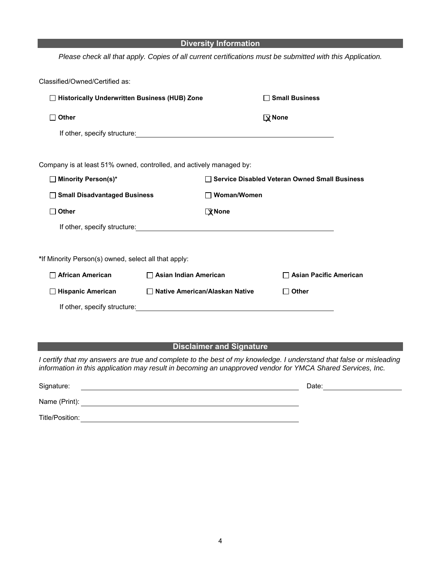| <b>Diversity Information</b>                                        |                                       |                    |                                                                                                            |
|---------------------------------------------------------------------|---------------------------------------|--------------------|------------------------------------------------------------------------------------------------------------|
|                                                                     |                                       |                    | Please check all that apply. Copies of all current certifications must be submitted with this Application. |
| Classified/Owned/Certified as:                                      |                                       |                    |                                                                                                            |
| □ Historically Underwritten Business (HUB) Zone                     |                                       |                    | $\Box$ Small Business                                                                                      |
| <b>Other</b>                                                        |                                       |                    | $\mathbf{\mathbb{R}}$ None                                                                                 |
|                                                                     |                                       |                    |                                                                                                            |
|                                                                     |                                       |                    |                                                                                                            |
| Company is at least 51% owned, controlled, and actively managed by: |                                       |                    |                                                                                                            |
| □ Minority Person(s)*                                               |                                       |                    | □ Service Disabled Veteran Owned Small Business                                                            |
| □ Small Disadvantaged Business                                      |                                       | $\Box$ Woman/Women |                                                                                                            |
| Other                                                               |                                       | $\sqrt{X}$ None    |                                                                                                            |
|                                                                     |                                       |                    |                                                                                                            |
|                                                                     |                                       |                    |                                                                                                            |
| *If Minority Person(s) owned, select all that apply:                |                                       |                    |                                                                                                            |
| □ African American                                                  | $\Box$ Asian Indian American          |                    | <b>Asian Pacific American</b>                                                                              |
| □ Hispanic American                                                 | $\Box$ Native American/Alaskan Native |                    | Other<br>П                                                                                                 |
|                                                                     |                                       |                    |                                                                                                            |

## **Disclaimer and Signature**

*I* certify that my answers are true and complete to the best of my knowledge. I understand that false or misleading *information in this application may result in becoming an unapproved vendor for YMCA Shared Services, Inc.* 

| Signature:      | Date: |
|-----------------|-------|
| Name (Print):   |       |
| Title/Position: |       |